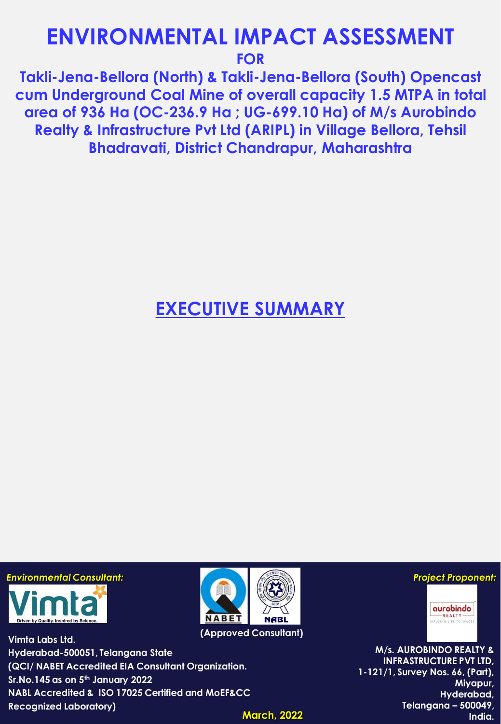# **ENVIRONMENTAL IMPACT ASSESSMENT FOR**

**Takli-Jena-Bellora (North) & Takli-Jena-Bellora (South) Opencast cum Underground Coal Mine of overall capacity 1.5 MTPA in total area of 936 Ha (OC-236.9 Ha ; UG-699.10 Ha) of M/s Aurobindo Realty & Infrastructure Pvt Ltd (ARIPL) in Village Bellora, Tehsil Bhadravati, District Chandrapur, Maharashtra**

**EXECUTIVE SUMMARY**

*Environmental Consultant: Project Proponent:*



**Vimta Labs Ltd. Hyderabad-500051, Telangana State (QCI/ NABET Accredited EIA Consultant Organization. Sr.No.145 as on 5th January 2022 NABL Accredited & ISO 17025 Certified and MoEF&CC Recognized Laboratory)**



**(Approved Consultant)**

**M/s. AUROBINDO REALTY & INFRASTRUCTURE PVT LTD, 1-121/1, Survey Nos. 66, (Part), Miyapur, Hyderabad, Telangana – 500049, India.** 

aurobindo REALTY

FUSING LIFE TO SPACES

**March, 2022**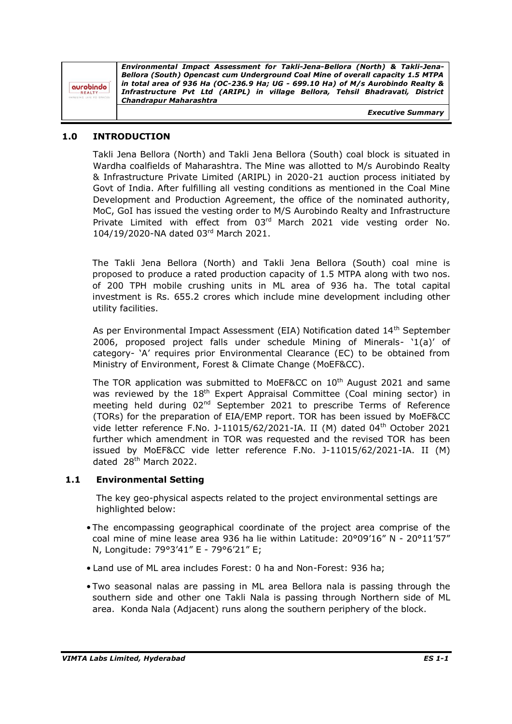*Environmental Impact Assessment for Takli-Jena-Bellora (North) & Takli-Jena-Bellora (South) Opencast cum Underground Coal Mine of overall capacity 1.5 MTPA in total area of 936 Ha (OC-236.9 Ha; UG - 699.10 Ha) of M/s Aurobindo Realty &*  aurobindo *Infrastructure Pvt Ltd (ARIPL) in village Bellora, Tehsil Bhadravati, District*  **REALT** *Chandrapur Maharashtra*

*Executive Summary*

## **1.0 INTRODUCTION**

Takli Jena Bellora (North) and Takli Jena Bellora (South) coal block is situated in Wardha coalfields of Maharashtra. The Mine was allotted to M/s Aurobindo Realty & Infrastructure Private Limited (ARIPL) in 2020-21 auction process initiated by Govt of India. After fulfilling all vesting conditions as mentioned in the Coal Mine Development and Production Agreement, the office of the nominated authority, MoC, GoI has issued the vesting order to M/S Aurobindo Realty and Infrastructure Private Limited with effect from 03rd March 2021 vide vesting order No. 104/19/2020-NA dated 03 rd March 2021.

The Takli Jena Bellora (North) and Takli Jena Bellora (South) coal mine is proposed to produce a rated production capacity of 1.5 MTPA along with two nos. of 200 TPH mobile crushing units in ML area of 936 ha. The total capital investment is Rs. 655.2 crores which include mine development including other utility facilities.

As per Environmental Impact Assessment (EIA) Notification dated 14th September 2006, proposed project falls under schedule Mining of Minerals- '1(a)' of category- 'A' requires prior Environmental Clearance (EC) to be obtained from Ministry of Environment, Forest & Climate Change (MoEF&CC).

The TOR application was submitted to MoEF&CC on 10<sup>th</sup> August 2021 and same was reviewed by the  $18<sup>th</sup>$  Expert Appraisal Committee (Coal mining sector) in meeting held during 02nd September 2021 to prescribe Terms of Reference (TORs) for the preparation of EIA/EMP report. TOR has been issued by MoEF&CC vide letter reference F.No. J-11015/62/2021-IA. II (M) dated 04<sup>th</sup> October 2021 further which amendment in TOR was requested and the revised TOR has been issued by MoEF&CC vide letter reference F.No. J-11015/62/2021-IA. II (M) dated 28th March 2022.

## **1.1 Environmental Setting**

The key geo-physical aspects related to the project environmental settings are highlighted below:

- The encompassing geographical coordinate of the project area comprise of the coal mine of mine lease area 936 ha lie within Latitude: 20°09'16" N - 20°11'57" N, Longitude: 79°3'41" E - 79°6'21" E;
- Land use of ML area includes Forest: 0 ha and Non-Forest: 936 ha;
- Two seasonal nalas are passing in ML area Bellora nala is passing through the southern side and other one Takli Nala is passing through Northern side of ML area. Konda Nala (Adjacent) runs along the southern periphery of the block.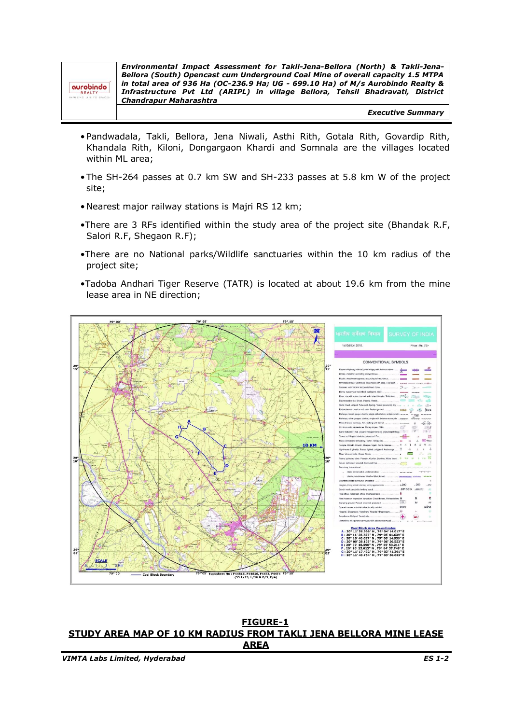| aurobindo |           |  |
|-----------|-----------|--|
|           | $-REALTY$ |  |

*Environmental Impact Assessment for Takli-Jena-Bellora (North) & Takli-Jena-Bellora (South) Opencast cum Underground Coal Mine of overall capacity 1.5 MTPA in total area of 936 Ha (OC-236.9 Ha; UG - 699.10 Ha) of M/s Aurobindo Realty & Infrastructure Pvt Ltd (ARIPL) in village Bellora, Tehsil Bhadravati, District Chandrapur Maharashtra*

*Executive Summary*

- •Pandwadala, Takli, Bellora, Jena Niwali, Asthi Rith, Gotala Rith, Govardip Rith, Khandala Rith, Kiloni, Dongargaon Khardi and Somnala are the villages located within ML area;
- •The SH-264 passes at 0.7 km SW and SH-233 passes at 5.8 km W of the project site;
- •Nearest major railway stations is Majri RS 12 km;
- •There are 3 RFs identified within the study area of the project site (Bhandak R.F, Salori R.F, Shegaon R.F);
- •There are no National parks/Wildlife sanctuaries within the 10 km radius of the project site;
- •Tadoba Andhari Tiger Reserve (TATR) is located at about 19.6 km from the mine lease area in NE direction;



**FIGURE-1 STUDY AREA MAP OF 10 KM RADIUS FROM TAKLI JENA BELLORA MINE LEASE AREA**

*VIMTA Labs Limited, Hyderabad ES 1-2*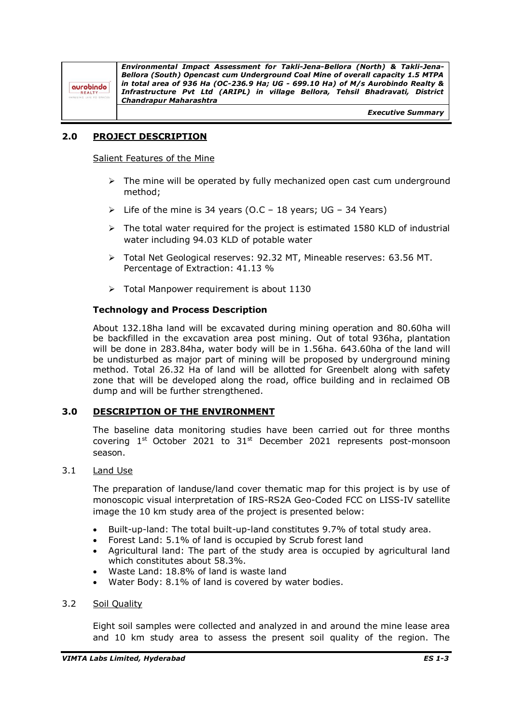aurobindo **REALT** 

*Environmental Impact Assessment for Takli-Jena-Bellora (North) & Takli-Jena-Bellora (South) Opencast cum Underground Coal Mine of overall capacity 1.5 MTPA in total area of 936 Ha (OC-236.9 Ha; UG - 699.10 Ha) of M/s Aurobindo Realty & Infrastructure Pvt Ltd (ARIPL) in village Bellora, Tehsil Bhadravati, District Chandrapur Maharashtra*

*Executive Summary*

# **2.0 PROJECT DESCRIPTION**

Salient Features of the Mine

- $\triangleright$  The mine will be operated by fully mechanized open cast cum underground method;
- $\triangleright$  Life of the mine is 34 years (O.C 18 years; UG 34 Years)
- $\triangleright$  The total water required for the project is estimated 1580 KLD of industrial water including 94.03 KLD of potable water
- ➢ Total Net Geological reserves: 92.32 MT, Mineable reserves: 63.56 MT. Percentage of Extraction: 41.13 %
- ➢ Total Manpower requirement is about 1130

## **Technology and Process Description**

About 132.18ha land will be excavated during mining operation and 80.60ha will be backfilled in the excavation area post mining. Out of total 936ha, plantation will be done in 283.84ha, water body will be in 1.56ha. 643.60ha of the land will be undisturbed as major part of mining will be proposed by underground mining method. Total 26.32 Ha of land will be allotted for Greenbelt along with safety zone that will be developed along the road, office building and in reclaimed OB dump and will be further strengthened.

## **3.0 DESCRIPTION OF THE ENVIRONMENT**

The baseline data monitoring studies have been carried out for three months covering  $1<sup>st</sup>$  October 2021 to  $31<sup>st</sup>$  December 2021 represents post-monsoon season.

## 3.1 Land Use

The preparation of landuse/land cover thematic map for this project is by use of monoscopic visual interpretation of IRS-RS2A Geo-Coded FCC on LISS-IV satellite image the 10 km study area of the project is presented below:

- Built-up-land: The total built-up-land constitutes 9.7% of total study area.
- Forest Land: 5.1% of land is occupied by Scrub forest land
- Agricultural land: The part of the study area is occupied by agricultural land which constitutes about 58.3%.
- Waste Land: 18.8% of land is waste land
- Water Body: 8.1% of land is covered by water bodies.

#### 3.2 Soil Quality

Eight soil samples were collected and analyzed in and around the mine lease area and 10 km study area to assess the present soil quality of the region. The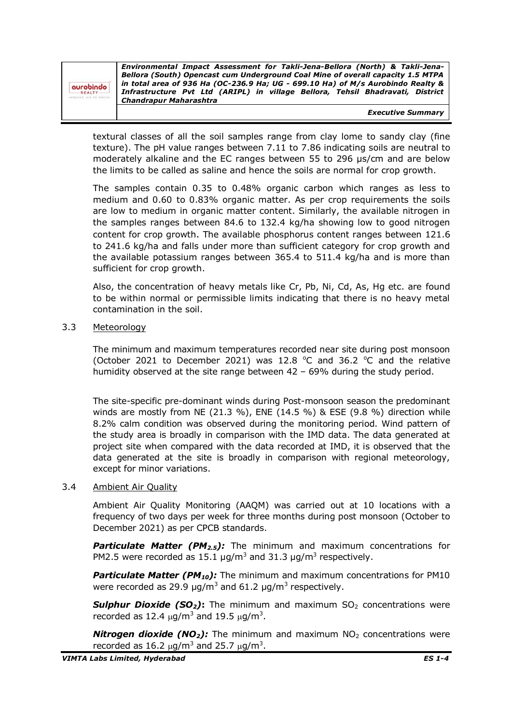| aurobindo |  |  |
|-----------|--|--|

*Environmental Impact Assessment for Takli-Jena-Bellora (North) & Takli-Jena-Bellora (South) Opencast cum Underground Coal Mine of overall capacity 1.5 MTPA in total area of 936 Ha (OC-236.9 Ha; UG - 699.10 Ha) of M/s Aurobindo Realty & Infrastructure Pvt Ltd (ARIPL) in village Bellora, Tehsil Bhadravati, District Chandrapur Maharashtra*

*Executive Summary*

textural classes of all the soil samples range from clay lome to sandy clay (fine texture). The pH value ranges between 7.11 to 7.86 indicating soils are neutral to moderately alkaline and the EC ranges between 55 to 296 µs/cm and are below the limits to be called as saline and hence the soils are normal for crop growth.

The samples contain 0.35 to 0.48% organic carbon which ranges as less to medium and 0.60 to 0.83% organic matter. As per crop requirements the soils are low to medium in organic matter content. Similarly, the available nitrogen in the samples ranges between 84.6 to 132.4 kg/ha showing low to good nitrogen content for crop growth. The available phosphorus content ranges between 121.6 to 241.6 kg/ha and falls under more than sufficient category for crop growth and the available potassium ranges between 365.4 to 511.4 kg/ha and is more than sufficient for crop growth.

Also, the concentration of heavy metals like Cr, Pb, Ni, Cd, As, Hg etc. are found to be within normal or permissible limits indicating that there is no heavy metal contamination in the soil.

#### 3.3 Meteorology

The minimum and maximum temperatures recorded near site during post monsoon (October 2021 to December 2021) was 12.8  $\degree$ C and 36.2  $\degree$ C and the relative humidity observed at the site range between 42 – 69% during the study period.

The site-specific pre-dominant winds during Post-monsoon season the predominant winds are mostly from NE (21.3 %), ENE (14.5 %) & ESE (9.8 %) direction while 8.2% calm condition was observed during the monitoring period. Wind pattern of the study area is broadly in comparison with the IMD data. The data generated at project site when compared with the data recorded at IMD, it is observed that the data generated at the site is broadly in comparison with regional meteorology, except for minor variations.

#### 3.4 Ambient Air Quality

Ambient Air Quality Monitoring (AAQM) was carried out at 10 locations with a frequency of two days per week for three months during post monsoon (October to December 2021) as per CPCB standards.

**Particulate Matter (PM<sub>2.5</sub>):** The minimum and maximum concentrations for PM2.5 were recorded as 15.1  $\mu$ g/m<sup>3</sup> and 31.3  $\mu$ g/m<sup>3</sup> respectively.

**Particulate Matter (PM<sub>10</sub>):** The minimum and maximum concentrations for PM10 were recorded as 29.9  $\mu$ g/m<sup>3</sup> and 61.2  $\mu$ g/m<sup>3</sup> respectively.

**Sulphur Dioxide (SO<sub>2</sub>)**: The minimum and maximum  $SO_2$  concentrations were recorded as 12.4  $\mu$ g/m<sup>3</sup> and 19.5  $\mu$ g/m<sup>3</sup>.

*Nitrogen dioxide (NO<sub>2</sub>):* The minimum and maximum NO<sub>2</sub> concentrations were recorded as 16.2  $\mu$ g/m<sup>3</sup> and 25.7  $\mu$ g/m<sup>3</sup>.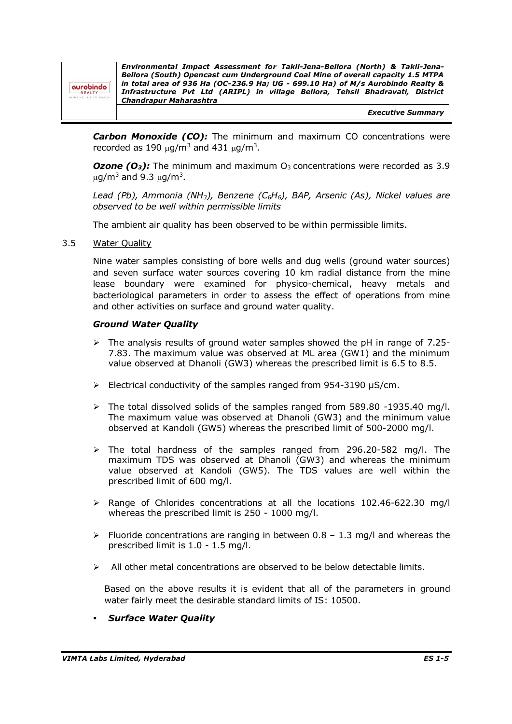| aurobindo<br>REALTY<br>SING LIFE TO SPACES | Environmental Impact Assessment for Takli-Jena-Bellora (North) & Takli-Jena-<br>Bellora (South) Opencast cum Underground Coal Mine of overall capacity 1.5 MTPA<br>in total area of 936 Ha (OC-236.9 Ha; UG - 699.10 Ha) of M/s Aurobindo Realty &<br>Infrastructure Pvt Ltd (ARIPL) in village Bellora, Tehsil Bhadravati, District<br><b>Chandrapur Maharashtra</b> |
|--------------------------------------------|-----------------------------------------------------------------------------------------------------------------------------------------------------------------------------------------------------------------------------------------------------------------------------------------------------------------------------------------------------------------------|
|                                            | <b>Executive Summary</b>                                                                                                                                                                                                                                                                                                                                              |

*Carbon Monoxide (CO):* The minimum and maximum CO concentrations were recorded as 190  $\mu$ g/m<sup>3</sup> and 431  $\mu$ g/m<sup>3</sup>.

**Ozone (O<sub>3</sub>):** The minimum and maximum  $O_3$  concentrations were recorded as 3.9  $\mu$ g/m<sup>3</sup> and 9.3  $\mu$ g/m<sup>3</sup>.

*Lead (Pb), Ammonia (NH3), Benzene (C6H6), BAP, Arsenic (As), Nickel values are observed to be well within permissible limits*

The ambient air quality has been observed to be within permissible limits.

#### 3.5 Water Quality

Nine water samples consisting of bore wells and dug wells (ground water sources) and seven surface water sources covering 10 km radial distance from the mine lease boundary were examined for physico-chemical, heavy metals and bacteriological parameters in order to assess the effect of operations from mine and other activities on surface and ground water quality.

#### *Ground Water Quality*

- $\geq$  The analysis results of ground water samples showed the pH in range of 7.25-7.83. The maximum value was observed at ML area (GW1) and the minimum value observed at Dhanoli (GW3) whereas the prescribed limit is 6.5 to 8.5.
- $\triangleright$  Electrical conductivity of the samples ranged from 954-3190  $\mu$ S/cm.
- $\triangleright$  The total dissolved solids of the samples ranged from 589.80 -1935.40 mg/l. The maximum value was observed at Dhanoli (GW3) and the minimum value observed at Kandoli (GW5) whereas the prescribed limit of 500-2000 mg/l.
- $\geq$  The total hardness of the samples ranged from 296.20-582 mg/l. The maximum TDS was observed at Dhanoli (GW3) and whereas the minimum value observed at Kandoli (GW5). The TDS values are well within the prescribed limit of 600 mg/l.
- ➢ Range of Chlorides concentrations at all the locations 102.46-622.30 mg/l whereas the prescribed limit is 250 - 1000 mg/l.
- $\triangleright$  Fluoride concentrations are ranging in between 0.8 1.3 mg/l and whereas the prescribed limit is 1.0 - 1.5 mg/l.
- $\triangleright$  All other metal concentrations are observed to be below detectable limits.

Based on the above results it is evident that all of the parameters in ground water fairly meet the desirable standard limits of IS: 10500.

**Surface Water Quality**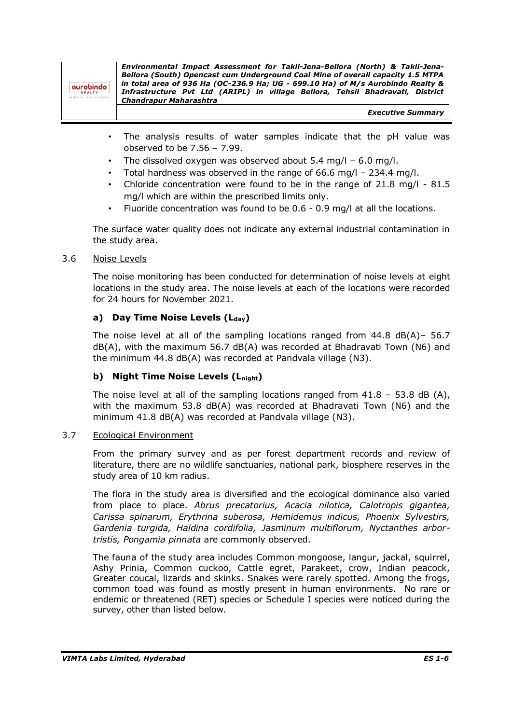| aurobindo<br>$-$ REALTY $-$<br>ING LIFE TO SPACES | Environmental Impact Assessment for Takli-Jena-Bellora (North) & Takli-Jena-<br>Bellora (South) Opencast cum Underground Coal Mine of overall capacity 1.5 MTPA<br>in total area of 936 Ha (OC-236.9 Ha; UG - 699.10 Ha) of M/s Aurobindo Realty &<br>Infrastructure Pvt Ltd (ARIPL) in village Bellora, Tehsil Bhadravati, District<br>Chandrapur Maharashtra |
|---------------------------------------------------|----------------------------------------------------------------------------------------------------------------------------------------------------------------------------------------------------------------------------------------------------------------------------------------------------------------------------------------------------------------|
|                                                   | <b>Executive Summary</b>                                                                                                                                                                                                                                                                                                                                       |

- The analysis results of water samples indicate that the pH value was observed to be 7.56 – 7.99.
- The dissolved oxygen was observed about  $5.4 \text{ mg/l}$  6.0 mg/l.
- Total hardness was observed in the range of 66.6 mg/l 234.4 mg/l.
- Chloride concentration were found to be in the range of  $21.8$  mg/l  $81.5$ mg/l which are within the prescribed limits only.
- Fluoride concentration was found to be 0.6 0.9 mg/l at all the locations.

The surface water quality does not indicate any external industrial contamination in the study area.

## 3.6 Noise Levels

The noise monitoring has been conducted for determination of noise levels at eight locations in the study area. The noise levels at each of the locations were recorded for 24 hours for November 2021.

## **a) Day Time Noise Levels (Lday)**

The noise level at all of the sampling locations ranged from 44.8 dB(A)– 56.7 dB(A), with the maximum 56.7 dB(A) was recorded at Bhadravati Town (N6) and the minimum 44.8 dB(A) was recorded at Pandvala village (N3).

# **b) Night Time Noise Levels (Lnight)**

The noise level at all of the sampling locations ranged from  $41.8 - 53.8$  dB (A), with the maximum 53.8 dB(A) was recorded at Bhadravati Town (N6) and the minimum 41.8 dB(A) was recorded at Pandvala village (N3).

## 3.7 Ecological Environment

From the primary survey and as per forest department records and review of literature, there are no wildlife sanctuaries, national park, biosphere reserves in the study area of 10 km radius.

The flora in the study area is diversified and the ecological dominance also varied from place to place. *Abrus precatorius, Acacia nilotica, Calotropis gigantea, Carissa spinarum, Erythrina suberosa, Hemidemus indicus, Phoenix Sylvestirs, Gardenia turgida, Haldina cordifolia, Jasminum multiflorum, Nyctanthes arbortristis, Pongamia pinnata* are commonly observed.

The fauna of the study area includes Common mongoose, langur, jackal, squirrel, Ashy Prinia, Common cuckoo, Cattle egret, Parakeet, crow, Indian peacock, Greater coucal, lizards and skinks. Snakes were rarely spotted. Among the frogs, common toad was found as mostly present in human environments. No rare or endemic or threatened (RET) species or Schedule I species were noticed during the survey, other than listed below.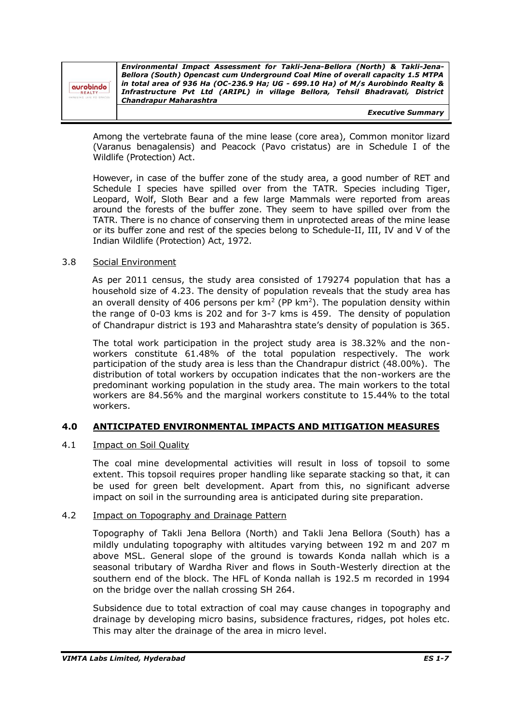| aurobindo<br>REALTY<br><b>SING LIFE TO SPACES</b> | Environmental Impact Assessment for Takli-Jena-Bellora (North) & Takli-Jena-<br>Bellora (South) Opencast cum Underground Coal Mine of overall capacity 1.5 MTPA<br>in total area of 936 Ha (OC-236.9 Ha; UG - 699.10 Ha) of M/s Aurobindo Realty &<br>Infrastructure Pvt Ltd (ARIPL) in village Bellora, Tehsil Bhadravati, District<br>Chandrapur Maharashtra |
|---------------------------------------------------|----------------------------------------------------------------------------------------------------------------------------------------------------------------------------------------------------------------------------------------------------------------------------------------------------------------------------------------------------------------|
|                                                   | <b>Executive Summary</b>                                                                                                                                                                                                                                                                                                                                       |

Among the vertebrate fauna of the mine lease (core area), Common monitor lizard (Varanus benagalensis) and Peacock (Pavo cristatus) are in Schedule I of the Wildlife (Protection) Act.

However, in case of the buffer zone of the study area, a good number of RET and Schedule I species have spilled over from the TATR. Species including Tiger, Leopard, Wolf, Sloth Bear and a few large Mammals were reported from areas around the forests of the buffer zone. They seem to have spilled over from the TATR. There is no chance of conserving them in unprotected areas of the mine lease or its buffer zone and rest of the species belong to Schedule-II, III, IV and V of the Indian Wildlife (Protection) Act, 1972.

## 3.8 Social Environment

As per 2011 census, the study area consisted of 179274 population that has a household size of 4.23. The density of population reveals that the study area has an overall density of 406 persons per  $km^2$  (PP  $km^2$ ). The population density within the range of 0-03 kms is 202 and for 3-7 kms is 459. The density of population of Chandrapur district is 193 and Maharashtra state's density of population is 365.

The total work participation in the project study area is 38.32% and the nonworkers constitute 61.48% of the total population respectively. The work participation of the study area is less than the Chandrapur district (48.00%). The distribution of total workers by occupation indicates that the non-workers are the predominant working population in the study area. The main workers to the total workers are 84.56% and the marginal workers constitute to 15.44% to the total workers.

## **4.0 ANTICIPATED ENVIRONMENTAL IMPACTS AND MITIGATION MEASURES**

## 4.1 **Impact on Soil Quality**

The coal mine developmental activities will result in loss of topsoil to some extent. This topsoil requires proper handling like separate stacking so that, it can be used for green belt development. Apart from this, no significant adverse impact on soil in the surrounding area is anticipated during site preparation.

## 4.2 Impact on Topography and Drainage Pattern

Topography of Takli Jena Bellora (North) and Takli Jena Bellora (South) has a mildly undulating topography with altitudes varying between 192 m and 207 m above MSL. General slope of the ground is towards Konda nallah which is a seasonal tributary of Wardha River and flows in South-Westerly direction at the southern end of the block. The HFL of Konda nallah is 192.5 m recorded in 1994 on the bridge over the nallah crossing SH 264.

Subsidence due to total extraction of coal may cause changes in topography and drainage by developing micro basins, subsidence fractures, ridges, pot holes etc. This may alter the drainage of the area in micro level.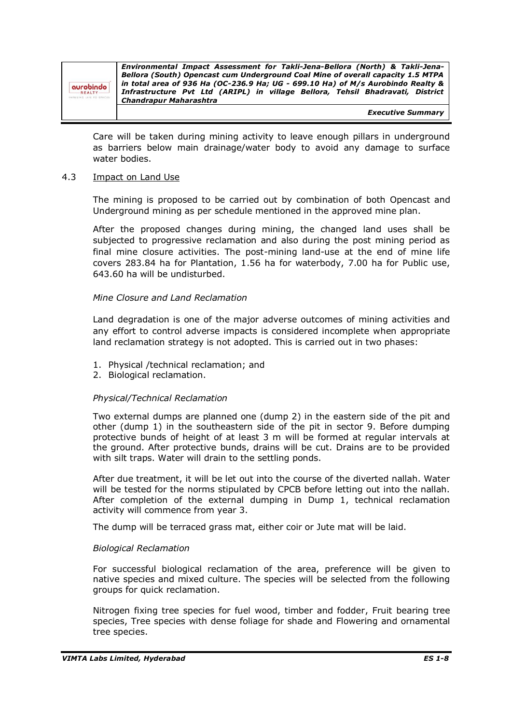*Environmental Impact Assessment for Takli-Jena-Bellora (North) & Takli-Jena-Bellora (South) Opencast cum Underground Coal Mine of overall capacity 1.5 MTPA in total area of 936 Ha (OC-236.9 Ha; UG - 699.10 Ha) of M/s Aurobindo Realty &*  aurobindo *Infrastructure Pvt Ltd (ARIPL) in village Bellora, Tehsil Bhadravati, District*  **REALT** *Chandrapur Maharashtra*

*Executive Summary*

Care will be taken during mining activity to leave enough pillars in underground as barriers below main drainage/water body to avoid any damage to surface water bodies.

#### 4.3 Impact on Land Use

The mining is proposed to be carried out by combination of both Opencast and Underground mining as per schedule mentioned in the approved mine plan.

After the proposed changes during mining, the changed land uses shall be subjected to progressive reclamation and also during the post mining period as final mine closure activities. The post-mining land-use at the end of mine life covers 283.84 ha for Plantation, 1.56 ha for waterbody, 7.00 ha for Public use, 643.60 ha will be undisturbed.

#### *Mine Closure and Land Reclamation*

Land degradation is one of the major adverse outcomes of mining activities and any effort to control adverse impacts is considered incomplete when appropriate land reclamation strategy is not adopted. This is carried out in two phases:

- 1. Physical /technical reclamation; and
- 2. Biological reclamation.

## *Physical/Technical Reclamation*

Two external dumps are planned one (dump 2) in the eastern side of the pit and other (dump 1) in the southeastern side of the pit in sector 9. Before dumping protective bunds of height of at least 3 m will be formed at regular intervals at the ground. After protective bunds, drains will be cut. Drains are to be provided with silt traps. Water will drain to the settling ponds.

After due treatment, it will be let out into the course of the diverted nallah. Water will be tested for the norms stipulated by CPCB before letting out into the nallah. After completion of the external dumping in Dump 1, technical reclamation activity will commence from year 3.

The dump will be terraced grass mat, either coir or Jute mat will be laid.

#### *Biological Reclamation*

For successful biological reclamation of the area, preference will be given to native species and mixed culture. The species will be selected from the following groups for quick reclamation.

Nitrogen fixing tree species for fuel wood, timber and fodder, Fruit bearing tree species, Tree species with dense foliage for shade and Flowering and ornamental tree species.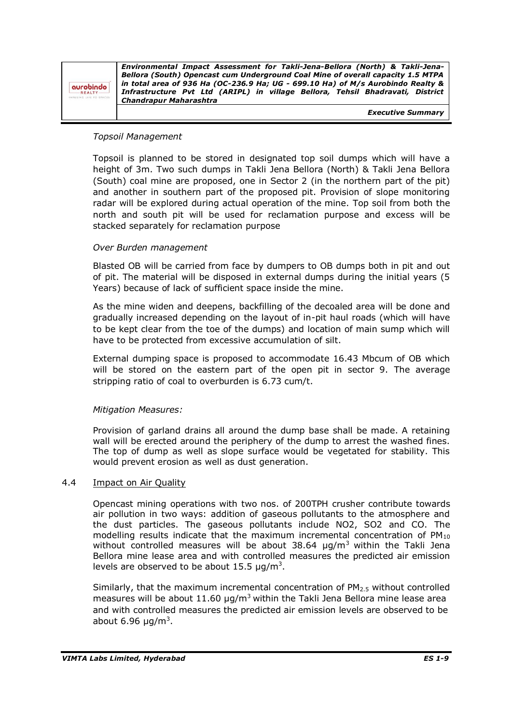| aurobindo<br>REALTY- | Environmental Impact Assessment for Takli-Jena-Bellora (North) & Takli-Jena-<br>Bellora (South) Opencast cum Underground Coal Mine of overall capacity 1.5 MTPA<br>in total area of 936 Ha (OC-236.9 Ha; UG - 699.10 Ha) of M/s Aurobindo Realty &<br>Infrastructure Pvt Ltd (ARIPL) in village Bellora, Tehsil Bhadravati, District<br>Chandrapur Maharashtra |
|----------------------|----------------------------------------------------------------------------------------------------------------------------------------------------------------------------------------------------------------------------------------------------------------------------------------------------------------------------------------------------------------|
|                      | <b>Executive Summary</b>                                                                                                                                                                                                                                                                                                                                       |

#### *Topsoil Management*

Topsoil is planned to be stored in designated top soil dumps which will have a height of 3m. Two such dumps in Takli Jena Bellora (North) & Takli Jena Bellora (South) coal mine are proposed, one in Sector 2 (in the northern part of the pit) and another in southern part of the proposed pit. Provision of slope monitoring radar will be explored during actual operation of the mine. Top soil from both the north and south pit will be used for reclamation purpose and excess will be stacked separately for reclamation purpose

#### *Over Burden management*

Blasted OB will be carried from face by dumpers to OB dumps both in pit and out of pit. The material will be disposed in external dumps during the initial years (5 Years) because of lack of sufficient space inside the mine.

As the mine widen and deepens, backfilling of the decoaled area will be done and gradually increased depending on the layout of in-pit haul roads (which will have to be kept clear from the toe of the dumps) and location of main sump which will have to be protected from excessive accumulation of silt.

External dumping space is proposed to accommodate 16.43 Mbcum of OB which will be stored on the eastern part of the open pit in sector 9. The average stripping ratio of coal to overburden is 6.73 cum/t.

## *Mitigation Measures:*

Provision of garland drains all around the dump base shall be made. A retaining wall will be erected around the periphery of the dump to arrest the washed fines. The top of dump as well as slope surface would be vegetated for stability. This would prevent erosion as well as dust generation.

#### 4.4 **Impact on Air Quality**

Opencast mining operations with two nos. of 200TPH crusher contribute towards air pollution in two ways: addition of gaseous pollutants to the atmosphere and the dust particles. The gaseous pollutants include NO2, SO2 and CO. The modelling results indicate that the maximum incremental concentration of  $PM_{10}$ without controlled measures will be about  $38.64 \mu g/m^3$  within the Takli Jena Bellora mine lease area and with controlled measures the predicted air emission levels are observed to be about 15.5  $\mu$ g/m<sup>3</sup>.

Similarly, that the maximum incremental concentration of  $PM<sub>2.5</sub>$  without controlled measures will be about 11.60  $\mu$ g/m<sup>3</sup> within the Takli Jena Bellora mine lease area and with controlled measures the predicted air emission levels are observed to be about 6.96  $\mu$ g/m<sup>3</sup>.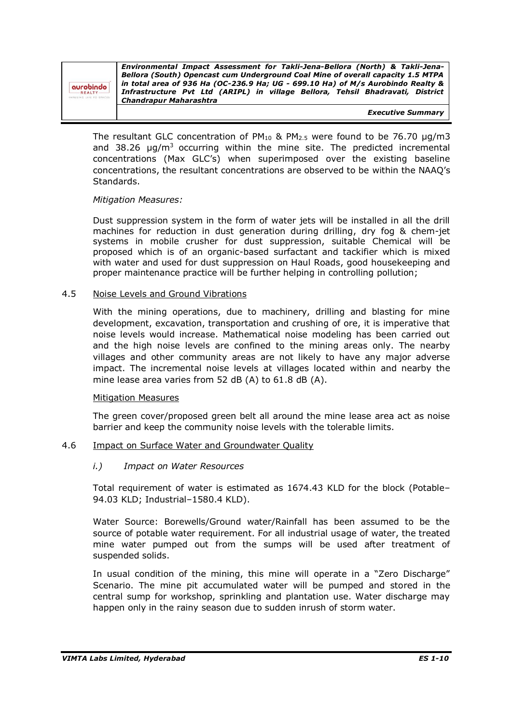aurobindo **REALT** 

*Environmental Impact Assessment for Takli-Jena-Bellora (North) & Takli-Jena-Bellora (South) Opencast cum Underground Coal Mine of overall capacity 1.5 MTPA in total area of 936 Ha (OC-236.9 Ha; UG - 699.10 Ha) of M/s Aurobindo Realty & Infrastructure Pvt Ltd (ARIPL) in village Bellora, Tehsil Bhadravati, District Chandrapur Maharashtra*

*Executive Summary*

The resultant GLC concentration of  $PM_{10}$  &  $PM_{2.5}$  were found to be 76.70  $\mu$ g/m3 and 38.26  $\mu q/m^3$  occurring within the mine site. The predicted incremental concentrations (Max GLC's) when superimposed over the existing baseline concentrations, the resultant concentrations are observed to be within the NAAQ's Standards.

## *Mitigation Measures:*

Dust suppression system in the form of water jets will be installed in all the drill machines for reduction in dust generation during drilling, dry fog & chem-jet systems in mobile crusher for dust suppression, suitable Chemical will be proposed which is of an organic-based surfactant and tackifier which is mixed with water and used for dust suppression on Haul Roads, good housekeeping and proper maintenance practice will be further helping in controlling pollution;

## 4.5 Noise Levels and Ground Vibrations

With the mining operations, due to machinery, drilling and blasting for mine development, excavation, transportation and crushing of ore, it is imperative that noise levels would increase. Mathematical noise modeling has been carried out and the high noise levels are confined to the mining areas only. The nearby villages and other community areas are not likely to have any major adverse impact. The incremental noise levels at villages located within and nearby the mine lease area varies from 52 dB (A) to 61.8 dB (A).

## Mitigation Measures

The green cover/proposed green belt all around the mine lease area act as noise barrier and keep the community noise levels with the tolerable limits.

## 4.6 Impact on Surface Water and Groundwater Quality

## *i.) Impact on Water Resources*

Total requirement of water is estimated as 1674.43 KLD for the block (Potable– 94.03 KLD; Industrial–1580.4 KLD).

Water Source: Borewells/Ground water/Rainfall has been assumed to be the source of potable water requirement. For all industrial usage of water, the treated mine water pumped out from the sumps will be used after treatment of suspended solids.

In usual condition of the mining, this mine will operate in a "Zero Discharge" Scenario. The mine pit accumulated water will be pumped and stored in the central sump for workshop, sprinkling and plantation use. Water discharge may happen only in the rainy season due to sudden inrush of storm water.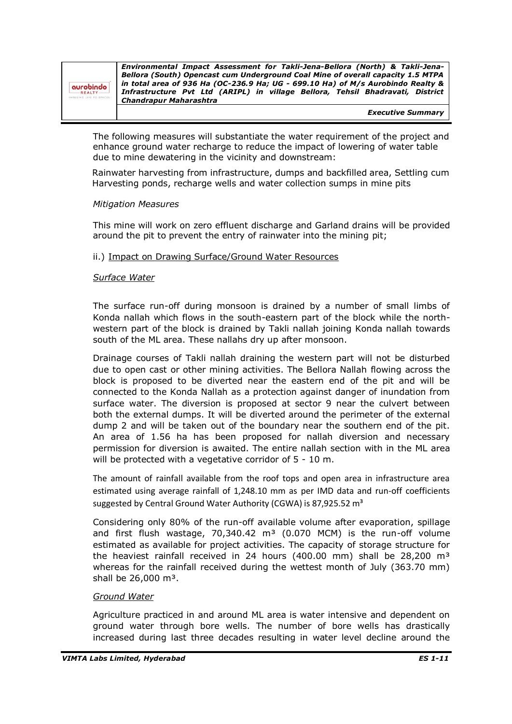| aurobindo |  |  |
|-----------|--|--|

*Environmental Impact Assessment for Takli-Jena-Bellora (North) & Takli-Jena-Bellora (South) Opencast cum Underground Coal Mine of overall capacity 1.5 MTPA in total area of 936 Ha (OC-236.9 Ha; UG - 699.10 Ha) of M/s Aurobindo Realty & Infrastructure Pvt Ltd (ARIPL) in village Bellora, Tehsil Bhadravati, District Chandrapur Maharashtra*

*Executive Summary*

The following measures will substantiate the water requirement of the project and enhance ground water recharge to reduce the impact of lowering of water table due to mine dewatering in the vicinity and downstream:

 Rainwater harvesting from infrastructure, dumps and backfilled area, Settling cum Harvesting ponds, recharge wells and water collection sumps in mine pits

## *Mitigation Measures*

This mine will work on zero effluent discharge and Garland drains will be provided around the pit to prevent the entry of rainwater into the mining pit;

#### ii.) Impact on Drawing Surface/Ground Water Resources

#### *Surface Water*

The surface run-off during monsoon is drained by a number of small limbs of Konda nallah which flows in the south-eastern part of the block while the northwestern part of the block is drained by Takli nallah joining Konda nallah towards south of the ML area. These nallahs dry up after monsoon.

Drainage courses of Takli nallah draining the western part will not be disturbed due to open cast or other mining activities. The Bellora Nallah flowing across the block is proposed to be diverted near the eastern end of the pit and will be connected to the Konda Nallah as a protection against danger of inundation from surface water. The diversion is proposed at sector 9 near the culvert between both the external dumps. It will be diverted around the perimeter of the external dump 2 and will be taken out of the boundary near the southern end of the pit. An area of 1.56 ha has been proposed for nallah diversion and necessary permission for diversion is awaited. The entire nallah section with in the ML area will be protected with a vegetative corridor of 5 - 10 m.

The amount of rainfall available from the roof tops and open area in infrastructure area estimated using average rainfall of 1,248.10 mm as per IMD data and run-off coefficients suggested by Central Ground Water Authority (CGWA) is 87,925.52 m<sup>3</sup>

Considering only 80% of the run-off available volume after evaporation, spillage and first flush wastage,  $70.340.42$  m<sup>3</sup> (0.070 MCM) is the run-off volume estimated as available for project activities. The capacity of storage structure for the heaviest rainfall received in 24 hours (400.00 mm) shall be  $28,200 \text{ m}^3$ whereas for the rainfall received during the wettest month of July (363.70 mm) shall be  $26,000$  m<sup>3</sup>.

## *Ground Water*

Agriculture practiced in and around ML area is water intensive and dependent on ground water through bore wells. The number of bore wells has drastically increased during last three decades resulting in water level decline around the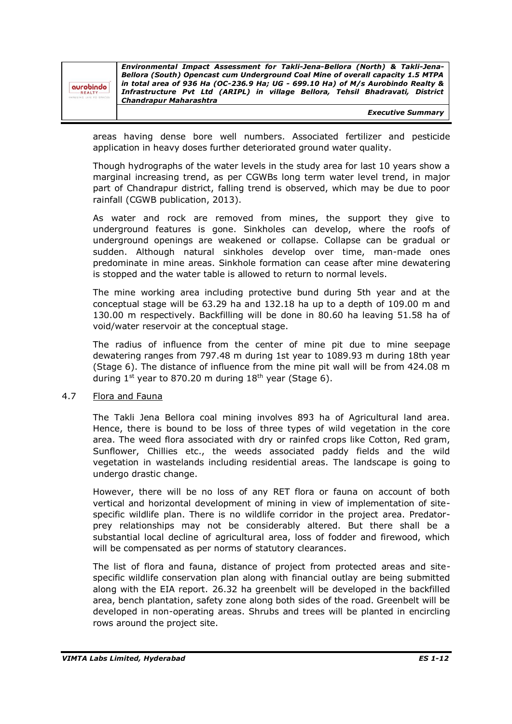|              | Environmental Impact Assessment for Takli-Jena-Bellora (North) & Takli-Jena-    |
|--------------|---------------------------------------------------------------------------------|
|              | Bellora (South) Opencast cum Underground Coal Mine of overall capacity 1.5 MTPA |
| obnid        | in total area of 936 Ha (OC-236.9 Ha; UG - 699.10 Ha) of M/s Aurobindo Realty & |
| LTY-         | Infrastructure Pvt Ltd (ARIPL) in village Bellora, Tehsil Bhadravati, District  |
| FE TO SPACES | <b>Chandrapur Maharashtra</b>                                                   |
|              |                                                                                 |

*Executive Summary*

areas having dense bore well numbers. Associated fertilizer and pesticide application in heavy doses further deteriorated ground water quality.

Though hydrographs of the water levels in the study area for last 10 years show a marginal increasing trend, as per CGWBs long term water level trend, in major part of Chandrapur district, falling trend is observed, which may be due to poor rainfall (CGWB publication, 2013).

As water and rock are removed from mines, the support they give to underground features is gone. Sinkholes can develop, where the roofs of underground openings are weakened or collapse. Collapse can be gradual or sudden. Although natural sinkholes develop over time, man-made ones predominate in mine areas. Sinkhole formation can cease after mine dewatering is stopped and the water table is allowed to return to normal levels.

The mine working area including protective bund during 5th year and at the conceptual stage will be 63.29 ha and 132.18 ha up to a depth of 109.00 m and 130.00 m respectively. Backfilling will be done in 80.60 ha leaving 51.58 ha of void/water reservoir at the conceptual stage.

The radius of influence from the center of mine pit due to mine seepage dewatering ranges from 797.48 m during 1st year to 1089.93 m during 18th year (Stage 6). The distance of influence from the mine pit wall will be from 424.08 m during  $1^{st}$  year to 870.20 m during  $18^{th}$  year (Stage 6).

## 4.7 Flora and Fauna

auro

The Takli Jena Bellora coal mining involves 893 ha of Agricultural land area. Hence, there is bound to be loss of three types of wild vegetation in the core area. The weed flora associated with dry or rainfed crops like Cotton, Red gram, Sunflower, Chillies etc., the weeds associated paddy fields and the wild vegetation in wastelands including residential areas. The landscape is going to undergo drastic change.

However, there will be no loss of any RET flora or fauna on account of both vertical and horizontal development of mining in view of implementation of sitespecific wildlife plan. There is no wildlife corridor in the project area. Predatorprey relationships may not be considerably altered. But there shall be a substantial local decline of agricultural area, loss of fodder and firewood, which will be compensated as per norms of statutory clearances.

The list of flora and fauna, distance of project from protected areas and sitespecific wildlife conservation plan along with financial outlay are being submitted along with the EIA report. 26.32 ha greenbelt will be developed in the backfilled area, bench plantation, safety zone along both sides of the road. Greenbelt will be developed in non-operating areas. Shrubs and trees will be planted in encircling rows around the project site.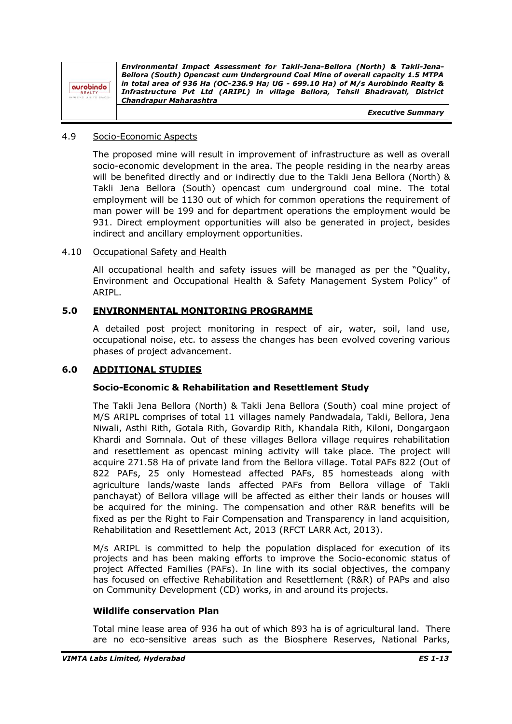| aurobindo<br>REALTY-<br>SING LIFE TO SPACES | Environmental Impact Assessment for Takli-Jena-Bellora (North) & Takli-Jena-<br>Bellora (South) Opencast cum Underground Coal Mine of overall capacity 1.5 MTPA<br>in total area of 936 Ha (OC-236.9 Ha; UG - 699.10 Ha) of M/s Aurobindo Realty &<br>Infrastructure Pvt Ltd (ARIPL) in village Bellora, Tehsil Bhadravati, District<br>Chandrapur Maharashtra |
|---------------------------------------------|----------------------------------------------------------------------------------------------------------------------------------------------------------------------------------------------------------------------------------------------------------------------------------------------------------------------------------------------------------------|
|                                             | <b>Executive Summary</b>                                                                                                                                                                                                                                                                                                                                       |

#### 4.9 Socio-Economic Aspects

The proposed mine will result in improvement of infrastructure as well as overall socio-economic development in the area. The people residing in the nearby areas will be benefited directly and or indirectly due to the Takli Jena Bellora (North) & Takli Jena Bellora (South) opencast cum underground coal mine. The total employment will be 1130 out of which for common operations the requirement of man power will be 199 and for department operations the employment would be 931. Direct employment opportunities will also be generated in project, besides indirect and ancillary employment opportunities.

#### 4.10 Occupational Safety and Health

All occupational health and safety issues will be managed as per the "Quality, Environment and Occupational Health & Safety Management System Policy" of ARIPL.

#### **5.0 ENVIRONMENTAL MONITORING PROGRAMME**

A detailed post project monitoring in respect of air, water, soil, land use, occupational noise, etc. to assess the changes has been evolved covering various phases of project advancement.

#### **6.0 ADDITIONAL STUDIES**

## **Socio-Economic & Rehabilitation and Resettlement Study**

The Takli Jena Bellora (North) & Takli Jena Bellora (South) coal mine project of M/S ARIPL comprises of total 11 villages namely Pandwadala, Takli, Bellora, Jena Niwali, Asthi Rith, Gotala Rith, Govardip Rith, Khandala Rith, Kiloni, Dongargaon Khardi and Somnala. Out of these villages Bellora village requires rehabilitation and resettlement as opencast mining activity will take place. The project will acquire 271.58 Ha of private land from the Bellora village. Total PAFs 822 (Out of 822 PAFs, 25 only Homestead affected PAFs, 85 homesteads along with agriculture lands/waste lands affected PAFs from Bellora village of Takli panchayat) of Bellora village will be affected as either their lands or houses will be acquired for the mining. The compensation and other R&R benefits will be fixed as per the Right to Fair Compensation and Transparency in land acquisition, Rehabilitation and Resettlement Act, 2013 (RFCT LARR Act, 2013).

M/s ARIPL is committed to help the population displaced for execution of its projects and has been making efforts to improve the Socio-economic status of project Affected Families (PAFs). In line with its social objectives, the company has focused on effective Rehabilitation and Resettlement (R&R) of PAPs and also on Community Development (CD) works, in and around its projects.

#### **Wildlife conservation Plan**

Total mine lease area of 936 ha out of which 893 ha is of agricultural land. There are no eco-sensitive areas such as the Biosphere Reserves, National Parks,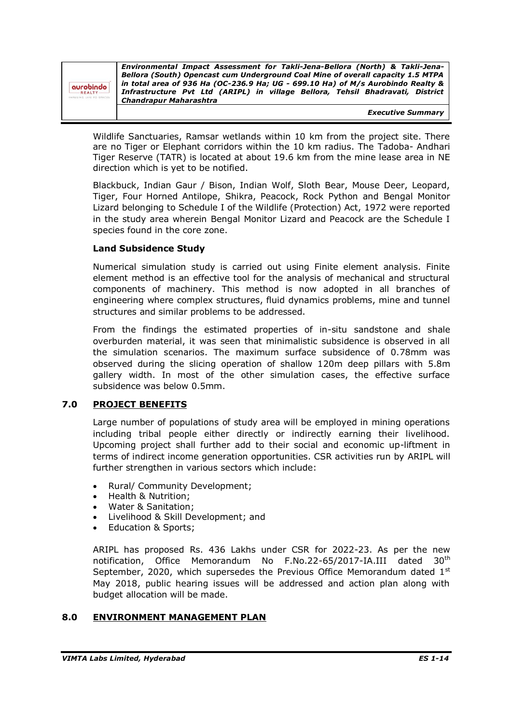| aurobindo<br>REALTY<br><b>UNING LIFE TO SPACES</b> | Environmental Impact Assessment for Takli-Jena-Bellora (North) & Takli-Jena-<br>Bellora (South) Opencast cum Underground Coal Mine of overall capacity 1.5 MTPA<br>in total area of 936 Ha (OC-236.9 Ha; UG - 699.10 Ha) of M/s Aurobindo Realty &<br>Infrastructure Pvt Ltd (ARIPL) in village Bellora, Tehsil Bhadravati, District<br><b>Chandrapur Maharashtra</b> |
|----------------------------------------------------|-----------------------------------------------------------------------------------------------------------------------------------------------------------------------------------------------------------------------------------------------------------------------------------------------------------------------------------------------------------------------|
|                                                    | <b>Executive Summary</b>                                                                                                                                                                                                                                                                                                                                              |

Wildlife Sanctuaries, Ramsar wetlands within 10 km from the project site. There are no Tiger or Elephant corridors within the 10 km radius. The Tadoba- Andhari Tiger Reserve (TATR) is located at about 19.6 km from the mine lease area in NE direction which is yet to be notified.

Blackbuck, Indian Gaur / Bison, Indian Wolf, Sloth Bear, Mouse Deer, Leopard, Tiger, Four Horned Antilope, Shikra, Peacock, Rock Python and Bengal Monitor Lizard belonging to Schedule I of the Wildlife (Protection) Act, 1972 were reported in the study area wherein Bengal Monitor Lizard and Peacock are the Schedule I species found in the core zone.

## **Land Subsidence Study**

Numerical simulation study is carried out using Finite element analysis. Finite element method is an effective tool for the analysis of mechanical and structural components of machinery. This method is now adopted in all branches of engineering where complex structures, fluid dynamics problems, mine and tunnel structures and similar problems to be addressed.

From the findings the estimated properties of in-situ sandstone and shale overburden material, it was seen that minimalistic subsidence is observed in all the simulation scenarios. The maximum surface subsidence of 0.78mm was observed during the slicing operation of shallow 120m deep pillars with 5.8m gallery width. In most of the other simulation cases, the effective surface subsidence was below 0.5mm.

# **7.0 PROJECT BENEFITS**

Large number of populations of study area will be employed in mining operations including tribal people either directly or indirectly earning their livelihood. Upcoming project shall further add to their social and economic up-liftment in terms of indirect income generation opportunities. CSR activities run by ARIPL will further strengthen in various sectors which include:

- Rural/ Community Development;
- Health & Nutrition;
- Water & Sanitation;
- Livelihood & Skill Development; and
- Education & Sports;

ARIPL has proposed Rs. 436 Lakhs under CSR for 2022-23. As per the new notification, Office Memorandum No F.No.22-65/2017-IA.III dated 30<sup>th</sup> September, 2020, which supersedes the Previous Office Memorandum dated  $1<sup>st</sup>$ May 2018, public hearing issues will be addressed and action plan along with budget allocation will be made.

# **8.0 ENVIRONMENT MANAGEMENT PLAN**